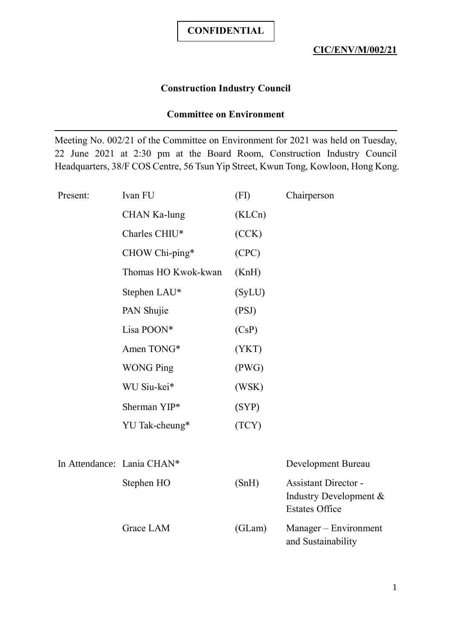## **Construction Industry Council**

## **Committee on Environment**

Meeting No. 002/21 of the Committee on Environment for 2021 was held on Tuesday, 22 June 2021 at 2:30 pm at the Board Room, Construction Industry Council Headquarters, 38/F COS Centre, 56 Tsun Yip Street, Kwun Tong, Kowloon, Hong Kong.

| Present:                   | Ivan FU             | (FI)   | Chairperson                                              |
|----------------------------|---------------------|--------|----------------------------------------------------------|
|                            | CHAN Ka-lung        | (KLCn) |                                                          |
|                            | Charles CHIU*       | (CCK)  |                                                          |
|                            | CHOW Chi-ping*      | (CPC)  |                                                          |
|                            | Thomas HO Kwok-kwan | (KnH)  |                                                          |
|                            | Stephen LAU*        | (SyLU) |                                                          |
|                            | PAN Shujie          | (PSJ)  |                                                          |
|                            | Lisa POON*          | (CsP)  |                                                          |
|                            | Amen TONG*          | (YKT)  |                                                          |
|                            | <b>WONG Ping</b>    | (PWG)  |                                                          |
|                            | WU Siu-kei*         | (WSK)  |                                                          |
|                            | Sherman YIP*        | (SYP)  |                                                          |
|                            | YU Tak-cheung*      | (TCY)  |                                                          |
|                            |                     |        |                                                          |
| In Attendance: Lania CHAN* |                     |        | Development Bureau                                       |
|                            | Stephen HO          | (SnH)  | <b>Assistant Director -</b><br>Industry Development $\&$ |

Grace LAM (GLam) Manager – Environment and Sustainability

Estates Office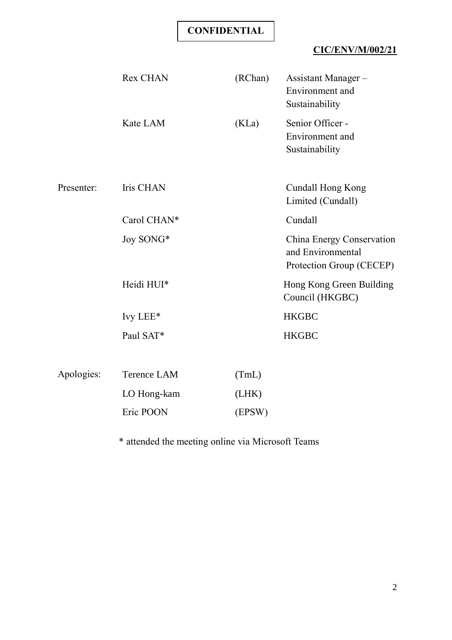# **CIC/ENV/M/002/21**

|            | <b>Rex CHAN</b>  | (RChan) | Assistant Manager-<br>Environment and<br>Sustainability                    |
|------------|------------------|---------|----------------------------------------------------------------------------|
|            | Kate LAM         | (KLa)   | Senior Officer -<br>Environment and<br>Sustainability                      |
| Presenter: | <b>Iris CHAN</b> |         | <b>Cundall Hong Kong</b><br>Limited (Cundall)                              |
|            | Carol CHAN*      |         | Cundall                                                                    |
|            | Joy SONG*        |         | China Energy Conservation<br>and Environmental<br>Protection Group (CECEP) |
|            | Heidi HUI*       |         | Hong Kong Green Building<br>Council (HKGBC)                                |
|            | Ivy LEE*         |         | <b>HKGBC</b>                                                               |
|            | Paul SAT*        |         | <b>HKGBC</b>                                                               |
| Apologies: | Terence LAM      | (TmL)   |                                                                            |
|            | LO Hong-kam      | (LHK)   |                                                                            |
|            | Eric POON        | (EPSW)  |                                                                            |
|            |                  |         |                                                                            |

\* attended the meeting online via Microsoft Teams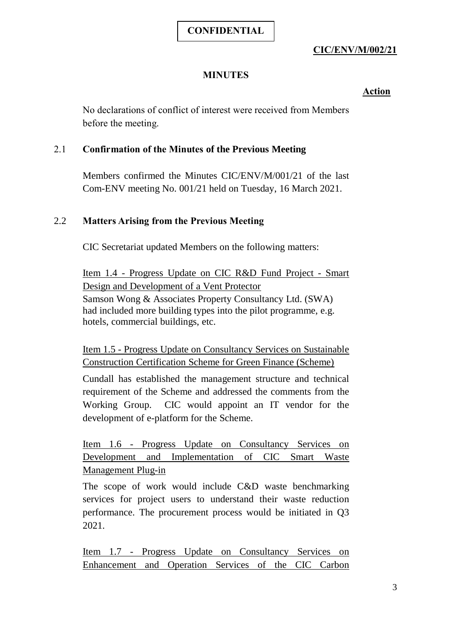## **CIC/ENV/M/002/21**

## **MINUTES**

## **Action**

No declarations of conflict of interest were received from Members before the meeting.

#### 2.1 **Confirmation of the Minutes of the Previous Meeting**

Members confirmed the Minutes CIC/ENV/M/001/21 of the last Com-ENV meeting No. 001/21 held on Tuesday, 16 March 2021.

## 2.2 **Matters Arising from the Previous Meeting**

CIC Secretariat updated Members on the following matters:

Item 1.4 - Progress Update on CIC R&D Fund Project - Smart Design and Development of a Vent Protector Samson Wong & Associates Property Consultancy Ltd. (SWA) had included more building types into the pilot programme, e.g. hotels, commercial buildings, etc.

Item 1.5 - Progress Update on Consultancy Services on Sustainable Construction Certification Scheme for Green Finance (Scheme)

Cundall has established the management structure and technical requirement of the Scheme and addressed the comments from the Working Group. CIC would appoint an IT vendor for the development of e-platform for the Scheme.

Item 1.6 - Progress Update on Consultancy Services on Development and Implementation of CIC Smart Waste Management Plug-in

The scope of work would include C&D waste benchmarking services for project users to understand their waste reduction performance. The procurement process would be initiated in Q3 2021.

Item 1.7 - Progress Update on Consultancy Services on Enhancement and Operation Services of the CIC Carbon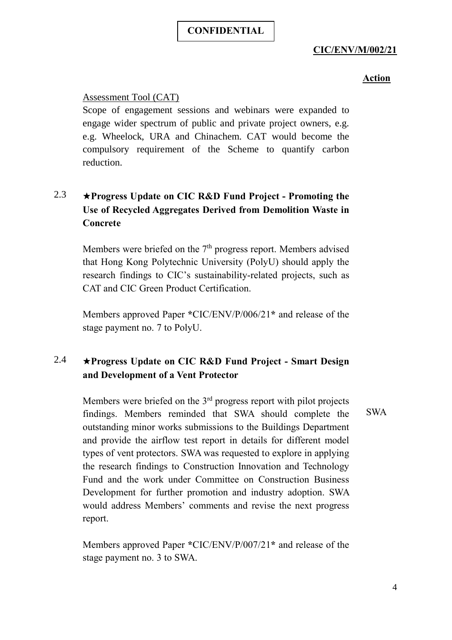## **CIC/ENV/M/002/21**

## **Action**

#### Assessment Tool (CAT)

Scope of engagement sessions and webinars were expanded to engage wider spectrum of public and private project owners, e.g. e.g. Wheelock, URA and Chinachem. CAT would become the compulsory requirement of the Scheme to quantify carbon reduction.

# 2.3 ★**Progress Update on CIC R&D Fund Project - Promoting the Use of Recycled Aggregates Derived from Demolition Waste in Concrete**

Members were briefed on the  $7<sup>th</sup>$  progress report. Members advised that Hong Kong Polytechnic University (PolyU) should apply the research findings to CIC's sustainability-related projects, such as CAT and CIC Green Product Certification.

Members approved Paper **\***CIC/ENV/P/006/21**\*** and release of the stage payment no. 7 to PolyU.

## 2.4 ★**Progress Update on CIC R&D Fund Project - Smart Design and Development of a Vent Protector**

Members were briefed on the  $3<sup>rd</sup>$  progress report with pilot projects findings. Members reminded that SWA should complete the outstanding minor works submissions to the Buildings Department and provide the airflow test report in details for different model types of vent protectors. SWA was requested to explore in applying the research findings to Construction Innovation and Technology Fund and the work under Committee on Construction Business Development for further promotion and industry adoption. SWA would address Members' comments and revise the next progress report.

Members approved Paper **\***CIC/ENV/P/007/21**\*** and release of the stage payment no. 3 to SWA.

SWA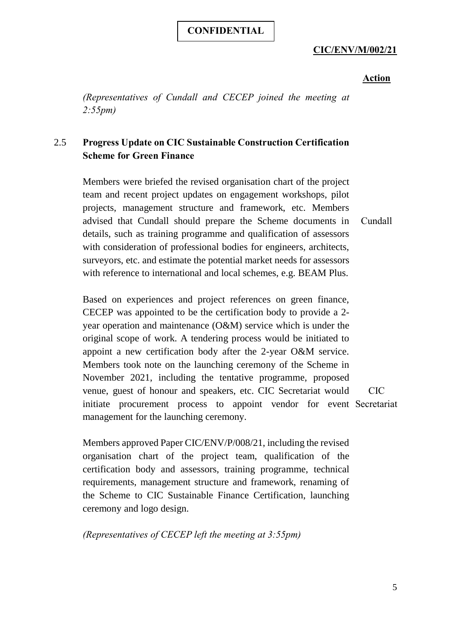## **CIC/ENV/M/002/21**

#### **Action**

*(Representatives of Cundall and CECEP joined the meeting at 2:55pm)*

## 2.5 **Progress Update on CIC Sustainable Construction Certification Scheme for Green Finance**

Members were briefed the revised organisation chart of the project team and recent project updates on engagement workshops, pilot projects, management structure and framework, etc. Members advised that Cundall should prepare the Scheme documents in details, such as training programme and qualification of assessors with consideration of professional bodies for engineers, architects, surveyors, etc. and estimate the potential market needs for assessors with reference to international and local schemes, e.g. BEAM Plus. Cundall

Based on experiences and project references on green finance, CECEP was appointed to be the certification body to provide a 2 year operation and maintenance (O&M) service which is under the original scope of work. A tendering process would be initiated to appoint a new certification body after the 2-year O&M service. Members took note on the launching ceremony of the Scheme in November 2021, including the tentative programme, proposed venue, guest of honour and speakers, etc. CIC Secretariat would initiate procurement process to appoint vendor for event Secretariatmanagement for the launching ceremony. CIC

Members approved Paper CIC/ENV/P/008/21, including the revised organisation chart of the project team, qualification of the certification body and assessors, training programme, technical requirements, management structure and framework, renaming of the Scheme to CIC Sustainable Finance Certification, launching ceremony and logo design.

*(Representatives of CECEP left the meeting at 3:55pm)*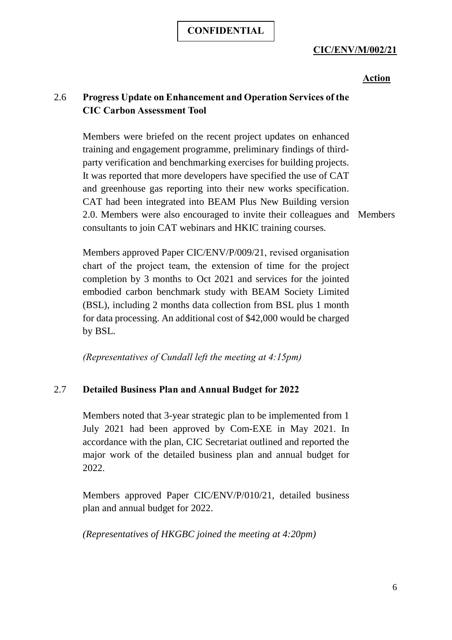## **CIC/ENV/M/002/21**

## **Action**

## 2.6 **Progress Update on Enhancement and Operation Services of the CIC Carbon Assessment Tool**

Members were briefed on the recent project updates on enhanced training and engagement programme, preliminary findings of thirdparty verification and benchmarking exercises for building projects. It was reported that more developers have specified the use of CAT and greenhouse gas reporting into their new works specification. CAT had been integrated into BEAM Plus New Building version 2.0. Members were also encouraged to invite their colleagues and Members consultants to join CAT webinars and HKIC training courses.

Members approved Paper CIC/ENV/P/009/21, revised organisation chart of the project team, the extension of time for the project completion by 3 months to Oct 2021 and services for the jointed embodied carbon benchmark study with BEAM Society Limited (BSL), including 2 months data collection from BSL plus 1 month for data processing. An additional cost of \$42,000 would be charged by BSL.

*(Representatives of Cundall left the meeting at 4:15pm)*

## 2.7 **Detailed Business Plan and Annual Budget for 2022**

Members noted that 3-year strategic plan to be implemented from 1 July 2021 had been approved by Com-EXE in May 2021. In accordance with the plan, CIC Secretariat outlined and reported the major work of the detailed business plan and annual budget for 2022.

Members approved Paper CIC/ENV/P/010/21, detailed business plan and annual budget for 2022.

*(Representatives of HKGBC joined the meeting at 4:20pm)*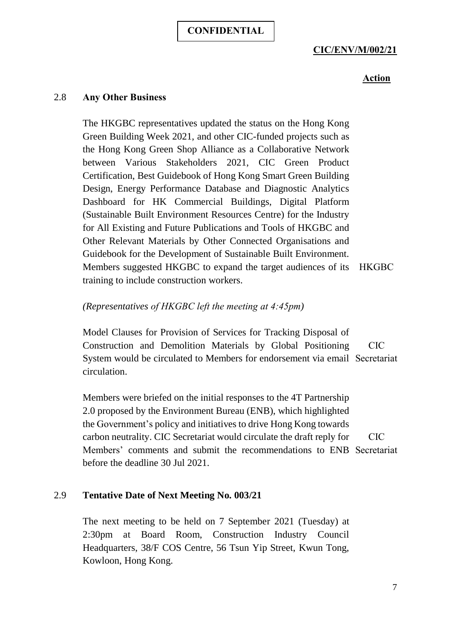#### **CIC/ENV/M/002/21**

## **Action**

#### 2.8 **Any Other Business**

The HKGBC representatives updated the status on the Hong Kong Green Building Week 2021, and other CIC-funded projects such as the Hong Kong Green Shop Alliance as a Collaborative Network between Various Stakeholders 2021, CIC Green Product Certification, Best Guidebook of Hong Kong Smart Green Building Design, Energy Performance Database and Diagnostic Analytics Dashboard for HK Commercial Buildings, Digital Platform (Sustainable Built Environment Resources Centre) for the Industry for All Existing and Future Publications and Tools of HKGBC and Other Relevant Materials by Other Connected Organisations and Guidebook for the Development of Sustainable Built Environment. Members suggested HKGBC to expand the target audiences of its HKGBC training to include construction workers.

#### *(Representatives of HKGBC left the meeting at 4:45pm)*

Model Clauses for Provision of Services for Tracking Disposal of Construction and Demolition Materials by Global Positioning System would be circulated to Members for endorsement via email Secretariat circulation. CIC

Members were briefed on the initial responses to the 4T Partnership 2.0 proposed by the Environment Bureau (ENB), which highlighted the Government's policy and initiatives to drive Hong Kong towards carbon neutrality. CIC Secretariat would circulate the draft reply for Members' comments and submit the recommendations to ENB Secretariat before the deadline 30 Jul 2021. CIC

#### 2.9 **Tentative Date of Next Meeting No. 003/21**

The next meeting to be held on 7 September 2021 (Tuesday) at 2:30pm at Board Room, Construction Industry Council Headquarters, 38/F COS Centre, 56 Tsun Yip Street, Kwun Tong, Kowloon, Hong Kong.